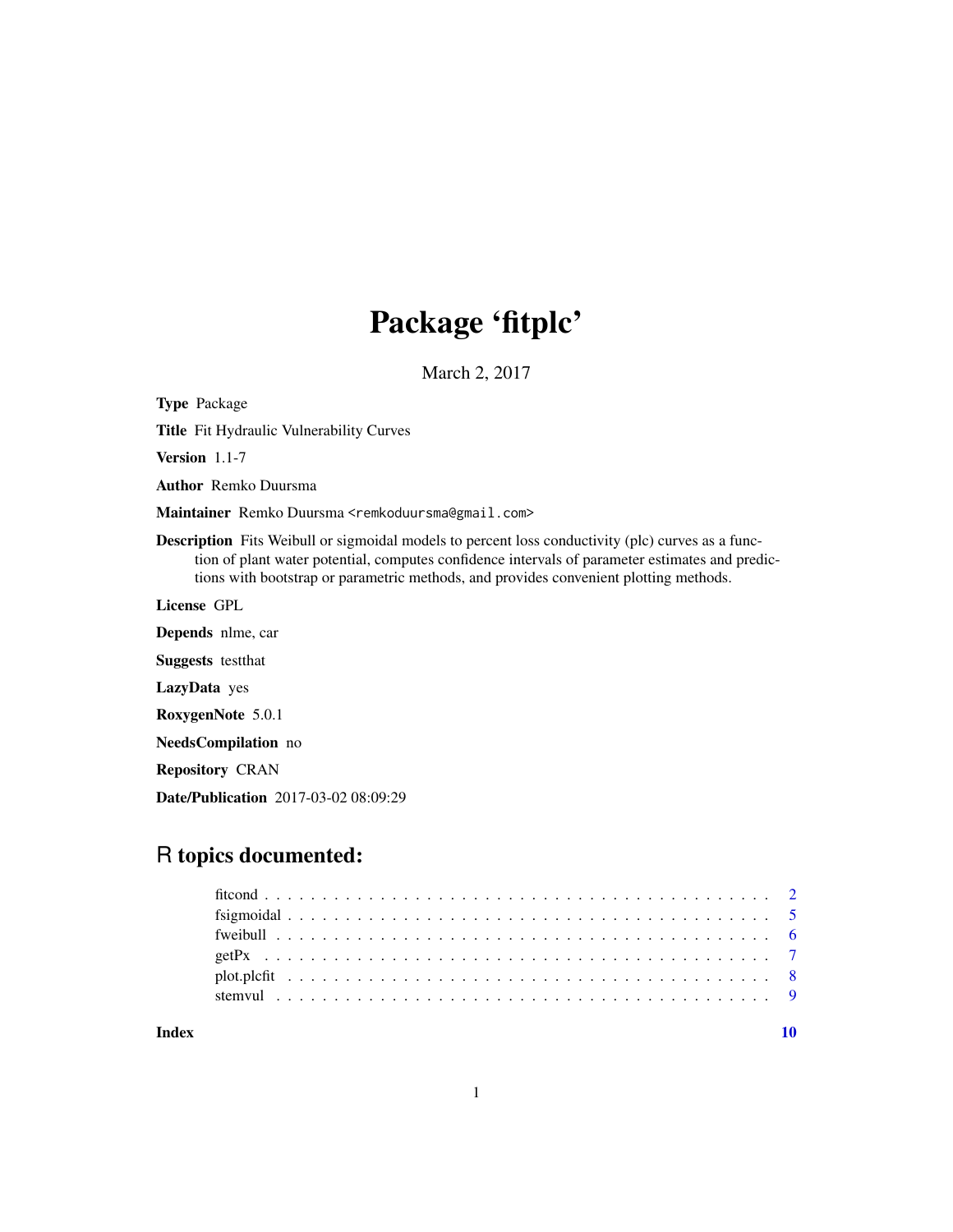## Package 'fitplc'

March 2, 2017

Title Fit Hydraulic Vulnerability Curves Version 1.1-7 Author Remko Duursma Maintainer Remko Duursma <remkoduursma@gmail.com> Description Fits Weibull or sigmoidal models to percent loss conductivity (plc) curves as a function of plant water potential, computes confidence intervals of parameter estimates and predictions with bootstrap or parametric methods, and provides convenient plotting methods. License GPL Depends nlme, car Suggests testthat LazyData yes RoxygenNote 5.0.1 NeedsCompilation no Repository CRAN Date/Publication 2017-03-02 08:09:29

### R topics documented:

<span id="page-0-0"></span>Type Package

| Index |  |  |  |  |  |  |  |  |  |  |  |  |  |  |  |  |  |  |  |  |  |  |
|-------|--|--|--|--|--|--|--|--|--|--|--|--|--|--|--|--|--|--|--|--|--|--|
|       |  |  |  |  |  |  |  |  |  |  |  |  |  |  |  |  |  |  |  |  |  |  |
|       |  |  |  |  |  |  |  |  |  |  |  |  |  |  |  |  |  |  |  |  |  |  |
|       |  |  |  |  |  |  |  |  |  |  |  |  |  |  |  |  |  |  |  |  |  |  |
|       |  |  |  |  |  |  |  |  |  |  |  |  |  |  |  |  |  |  |  |  |  |  |
|       |  |  |  |  |  |  |  |  |  |  |  |  |  |  |  |  |  |  |  |  |  |  |
|       |  |  |  |  |  |  |  |  |  |  |  |  |  |  |  |  |  |  |  |  |  |  |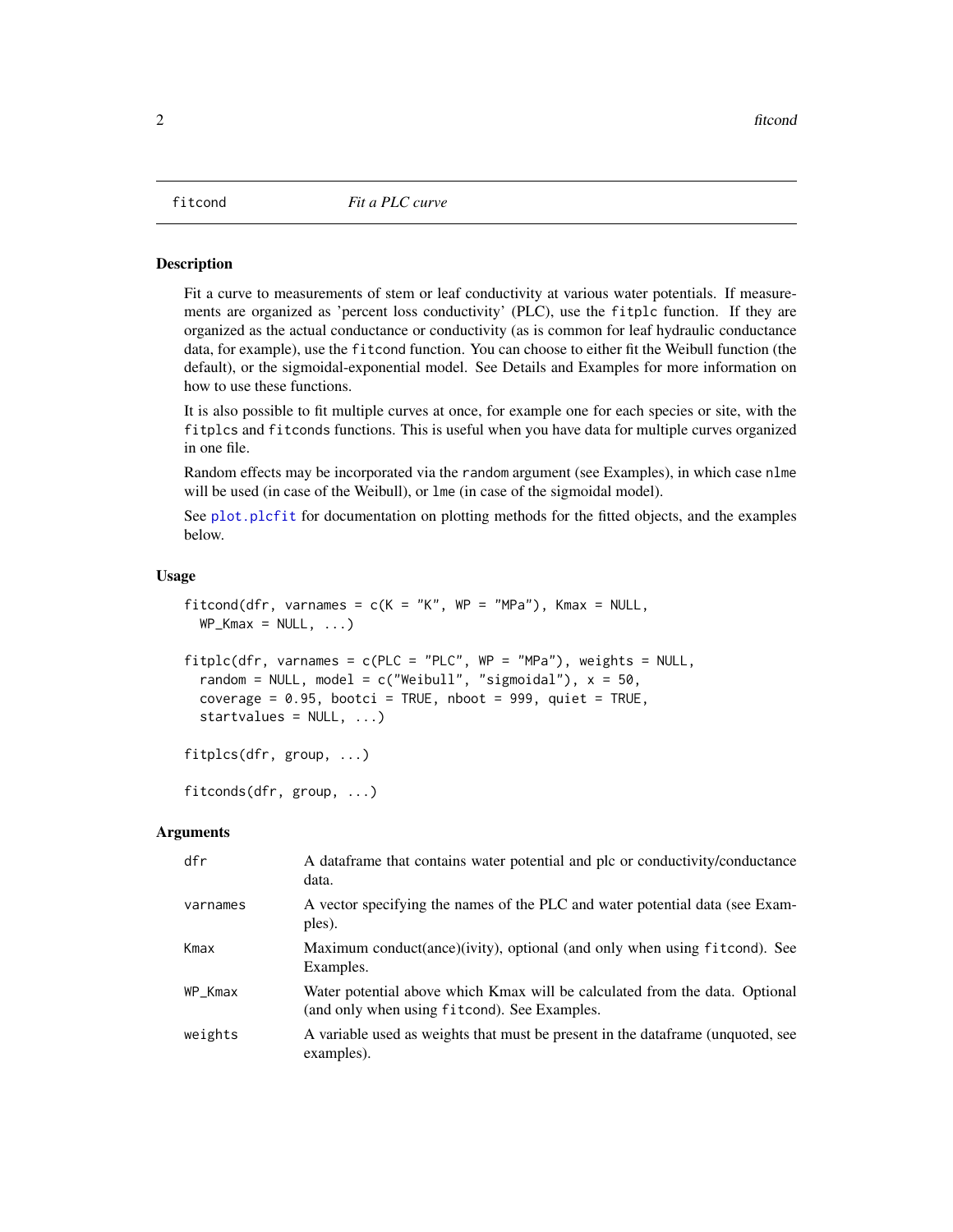<span id="page-1-2"></span><span id="page-1-0"></span>

#### <span id="page-1-1"></span>Description

Fit a curve to measurements of stem or leaf conductivity at various water potentials. If measurements are organized as 'percent loss conductivity' (PLC), use the fitplc function. If they are organized as the actual conductance or conductivity (as is common for leaf hydraulic conductance data, for example), use the fitcond function. You can choose to either fit the Weibull function (the default), or the sigmoidal-exponential model. See Details and Examples for more information on how to use these functions.

It is also possible to fit multiple curves at once, for example one for each species or site, with the fitplcs and fitconds functions. This is useful when you have data for multiple curves organized in one file.

Random effects may be incorporated via the random argument (see Examples), in which case nlme will be used (in case of the Weibull), or lme (in case of the sigmoidal model).

See plot. plcfit for documentation on plotting methods for the fitted objects, and the examples below.

#### Usage

```
fitcond(dfr, varnames = c(K = "K", WP = "MPa"), Kmax = NULL,WP_Kmax = NULL, ...fitplc(dfr, varnames = c(PLC = "PLC", WP = "MPa"), weights = NULL,random = NULL, model = c("Weibull", "sigmoidall"), x = 50,coverage = 0.95, bootci = TRUE, nboot = 999, quiet = TRUE,
  startvalues = NULL, ...fitplcs(dfr, group, ...)
fitconds(dfr, group, ...)
```
#### **Arguments**

| dfr      | A data frame that contains water potential and plc or conductivity/conductance<br>data.                                     |
|----------|-----------------------------------------------------------------------------------------------------------------------------|
| varnames | A vector specifying the names of the PLC and water potential data (see Exam-<br>ples).                                      |
| Kmax     | Maximum conduct(ance)(ivity), optional (and only when using fitcond). See<br>Examples.                                      |
| WP_Kmax  | Water potential above which Kmax will be calculated from the data. Optional<br>(and only when using fitcond). See Examples. |
| weights  | A variable used as weights that must be present in the dataframe (unquoted, see<br>examples).                               |
|          |                                                                                                                             |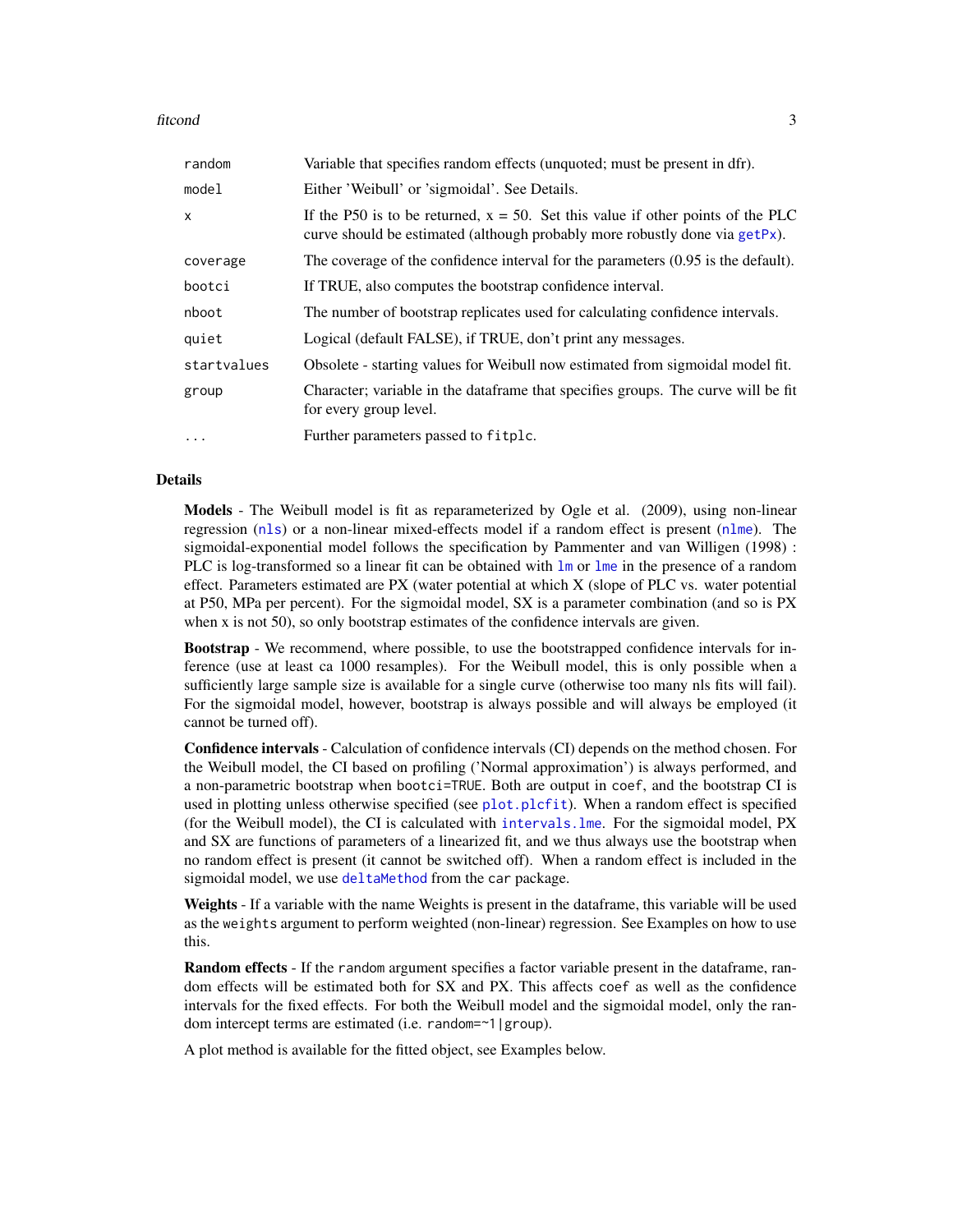#### <span id="page-2-0"></span>fitcond 3

| random      | Variable that specifies random effects (unquoted; must be present in dfr).                                                                                        |
|-------------|-------------------------------------------------------------------------------------------------------------------------------------------------------------------|
| model       | Either 'Weibull' or 'sigmoidal'. See Details.                                                                                                                     |
| X           | If the P50 is to be returned, $x = 50$ . Set this value if other points of the PLC<br>curve should be estimated (although probably more robustly done via getPx). |
| coverage    | The coverage of the confidence interval for the parameters $(0.95$ is the default).                                                                               |
| bootci      | If TRUE, also computes the bootstrap confidence interval.                                                                                                         |
| nboot       | The number of bootstrap replicates used for calculating confidence intervals.                                                                                     |
| quiet       | Logical (default FALSE), if TRUE, don't print any messages.                                                                                                       |
| startvalues | Obsolete - starting values for Weibull now estimated from sigmoidal model fit.                                                                                    |
| group       | Character; variable in the dataframe that specifies groups. The curve will be fit<br>for every group level.                                                       |
| $\cdots$    | Further parameters passed to fitplc.                                                                                                                              |

#### Details

Models - The Weibull model is fit as reparameterized by Ogle et al. (2009), using non-linear regression ([nls](#page-0-0)) or a non-linear mixed-effects model if a random effect is present ([nlme](#page-0-0)). The sigmoidal-exponential model follows the specification by Pammenter and van Willigen (1998) : PLC is log-transformed so a linear fit can be obtained with [lm](#page-0-0) or [lme](#page-0-0) in the presence of a random effect. Parameters estimated are PX (water potential at which X (slope of PLC vs. water potential at P50, MPa per percent). For the sigmoidal model, SX is a parameter combination (and so is PX when x is not 50), so only bootstrap estimates of the confidence intervals are given.

Bootstrap - We recommend, where possible, to use the bootstrapped confidence intervals for inference (use at least ca 1000 resamples). For the Weibull model, this is only possible when a sufficiently large sample size is available for a single curve (otherwise too many nls fits will fail). For the sigmoidal model, however, bootstrap is always possible and will always be employed (it cannot be turned off).

Confidence intervals - Calculation of confidence intervals (CI) depends on the method chosen. For the Weibull model, the CI based on profiling ('Normal approximation') is always performed, and a non-parametric bootstrap when bootci=TRUE. Both are output in coef, and the bootstrap CI is used in plotting unless otherwise specified (see [plot.plcfit](#page-7-1)). When a random effect is specified (for the Weibull model), the CI is calculated with [intervals.lme](#page-0-0). For the sigmoidal model, PX and SX are functions of parameters of a linearized fit, and we thus always use the bootstrap when no random effect is present (it cannot be switched off). When a random effect is included in the sigmoidal model, we use [deltaMethod](#page-0-0) from the car package.

Weights - If a variable with the name Weights is present in the dataframe, this variable will be used as the weights argument to perform weighted (non-linear) regression. See Examples on how to use this.

Random effects - If the random argument specifies a factor variable present in the dataframe, random effects will be estimated both for SX and PX. This affects coef as well as the confidence intervals for the fixed effects. For both the Weibull model and the sigmoidal model, only the random intercept terms are estimated (i.e. random=~1|group).

A plot method is available for the fitted object, see Examples below.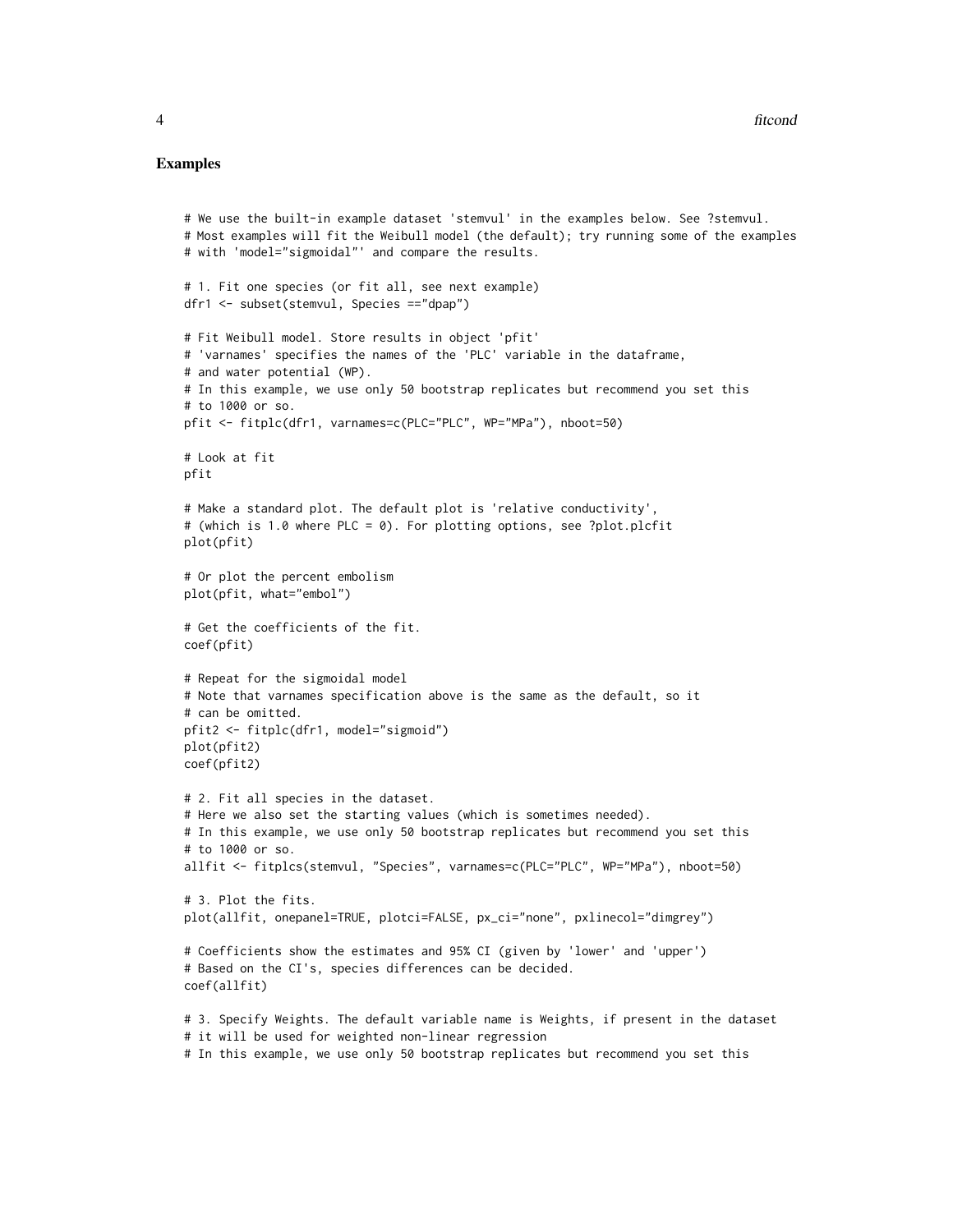#### Examples

```
# We use the built-in example dataset 'stemvul' in the examples below. See ?stemvul.
# Most examples will fit the Weibull model (the default); try running some of the examples
# with 'model="sigmoidal"' and compare the results.
# 1. Fit one species (or fit all, see next example)
dfr1 <- subset(stemvul, Species =="dpap")
# Fit Weibull model. Store results in object 'pfit'
# 'varnames' specifies the names of the 'PLC' variable in the dataframe,
# and water potential (WP).
# In this example, we use only 50 bootstrap replicates but recommend you set this
# to 1000 or so.
pfit <- fitplc(dfr1, varnames=c(PLC="PLC", WP="MPa"), nboot=50)
# Look at fit
pfit
# Make a standard plot. The default plot is 'relative conductivity',
# (which is 1.0 where PLC = 0). For plotting options, see ?plot.plcfit
plot(pfit)
# Or plot the percent embolism
plot(pfit, what="embol")
# Get the coefficients of the fit.
coef(pfit)
# Repeat for the sigmoidal model
# Note that varnames specification above is the same as the default, so it
# can be omitted.
pfit2 <- fitplc(dfr1, model="sigmoid")
plot(pfit2)
coef(pfit2)
# 2. Fit all species in the dataset.
# Here we also set the starting values (which is sometimes needed).
# In this example, we use only 50 bootstrap replicates but recommend you set this
# to 1000 or so.
allfit <- fitplcs(stemvul, "Species", varnames=c(PLC="PLC", WP="MPa"), nboot=50)
# 3. Plot the fits.
plot(allfit, onepanel=TRUE, plotci=FALSE, px_ci="none", pxlinecol="dimgrey")
# Coefficients show the estimates and 95% CI (given by 'lower' and 'upper')
# Based on the CI's, species differences can be decided.
coef(allfit)
# 3. Specify Weights. The default variable name is Weights, if present in the dataset
# it will be used for weighted non-linear regression
# In this example, we use only 50 bootstrap replicates but recommend you set this
```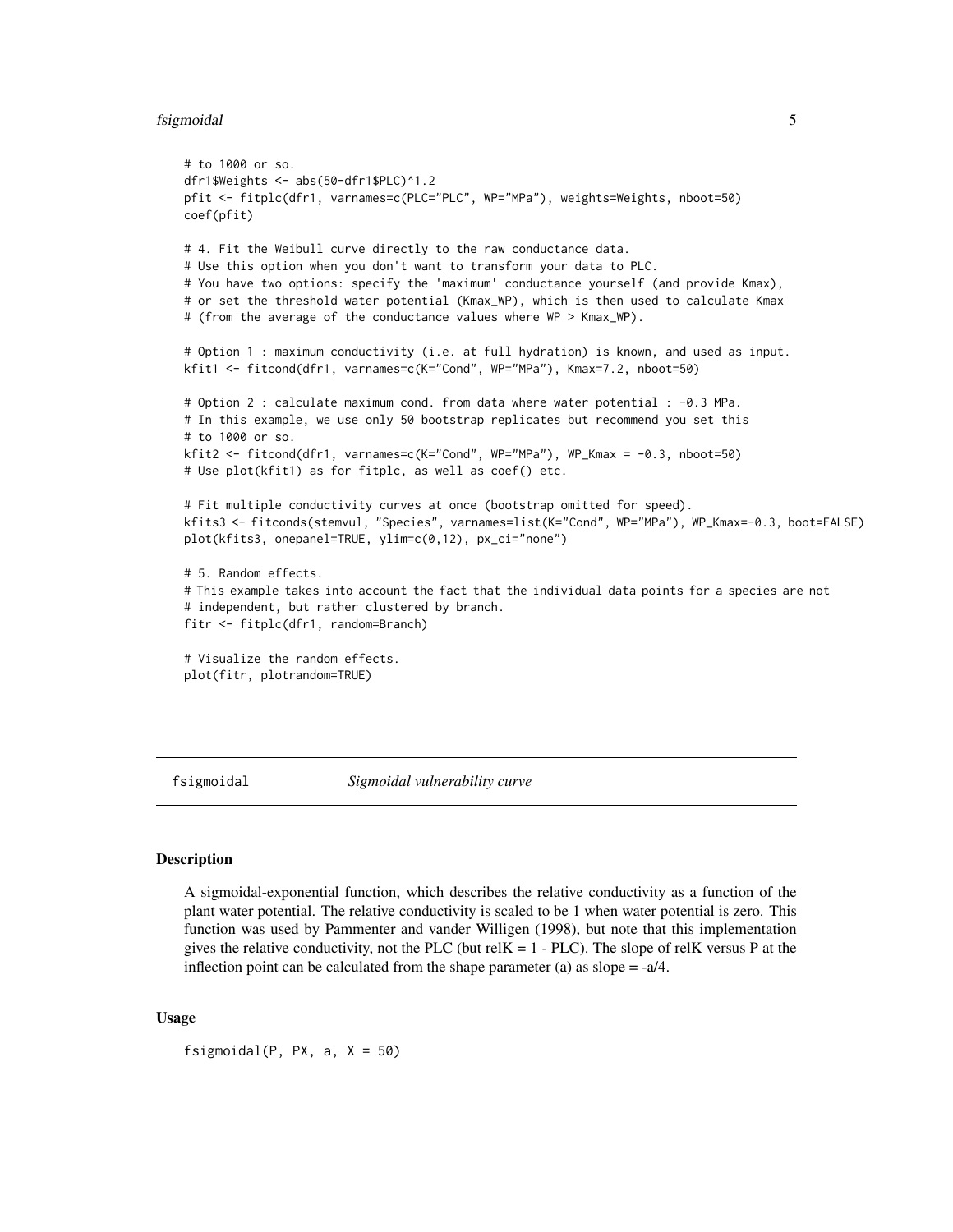#### <span id="page-4-0"></span>fsigmoidal 5

```
# to 1000 or so.
dfr1$Weights <- abs(50-dfr1$PLC)^1.2
pfit <- fitplc(dfr1, varnames=c(PLC="PLC", WP="MPa"), weights=Weights, nboot=50)
coef(pfit)
# 4. Fit the Weibull curve directly to the raw conductance data.
# Use this option when you don't want to transform your data to PLC.
# You have two options: specify the 'maximum' conductance yourself (and provide Kmax),
# or set the threshold water potential (Kmax_WP), which is then used to calculate Kmax
# (from the average of the conductance values where WP > Kmax_WP).
# Option 1 : maximum conductivity (i.e. at full hydration) is known, and used as input.
kfit1 <- fitcond(dfr1, varnames=c(K="Cond", WP="MPa"), Kmax=7.2, nboot=50)
# Option 2 : calculate maximum cond. from data where water potential : -0.3 MPa.
# In this example, we use only 50 bootstrap replicates but recommend you set this
# to 1000 or so.
kfit2 <- fitcond(dfr1, varnames=c(K="Cond", WP="MPa"), WP_Kmax = -0.3, nboot=50)
# Use plot(kfit1) as for fitplc, as well as coef() etc.
# Fit multiple conductivity curves at once (bootstrap omitted for speed).
kfits3 <- fitconds(stemvul, "Species", varnames=list(K="Cond", WP="MPa"), WP_Kmax=-0.3, boot=FALSE)
plot(kfits3, onepanel=TRUE, ylim=c(0,12), px_ci="none")
# 5. Random effects.
# This example takes into account the fact that the individual data points for a species are not
# independent, but rather clustered by branch.
fitr <- fitplc(dfr1, random=Branch)
# Visualize the random effects.
plot(fitr, plotrandom=TRUE)
```
fsigmoidal *Sigmoidal vulnerability curve*

#### **Description**

A sigmoidal-exponential function, which describes the relative conductivity as a function of the plant water potential. The relative conductivity is scaled to be 1 when water potential is zero. This function was used by Pammenter and vander Willigen (1998), but note that this implementation gives the relative conductivity, not the PLC (but relK =  $1 - P LC$ ). The slope of relK versus P at the inflection point can be calculated from the shape parameter (a) as slope  $= -a/4$ .

#### Usage

fsigmoidal(P, PX,  $a, X = 50$ )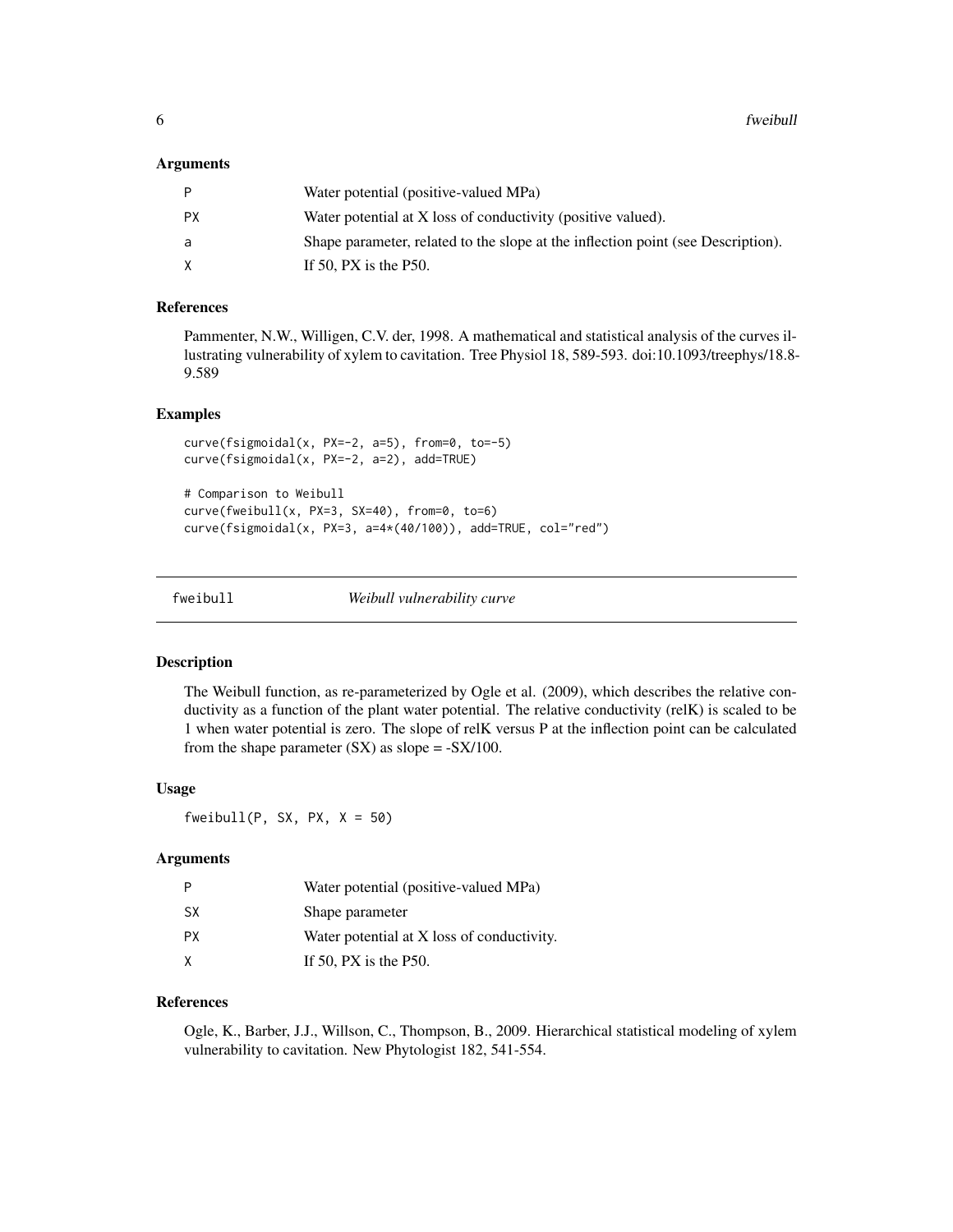#### <span id="page-5-0"></span>**Arguments**

| P         | Water potential (positive-valued MPa)                                            |
|-----------|----------------------------------------------------------------------------------|
| <b>PX</b> | Water potential at X loss of conductivity (positive valued).                     |
| a         | Shape parameter, related to the slope at the inflection point (see Description). |
| X         | If 50, $PX$ is the P50.                                                          |

#### References

Pammenter, N.W., Willigen, C.V. der, 1998. A mathematical and statistical analysis of the curves illustrating vulnerability of xylem to cavitation. Tree Physiol 18, 589-593. doi:10.1093/treephys/18.8- 9.589

#### Examples

```
curve(fsigmoidal(x, PX=-2, a=5), from=0, to=-5)
curve(fsigmoidal(x, PX=-2, a=2), add=TRUE)
# Comparison to Weibull
curve(fweibull(x, PX=3, SX=40), from=0, to=6)
curve(fsigmoidal(x, PX=3, a=4*(40/100)), add=TRUE, col="red")
```
fweibull *Weibull vulnerability curve*

#### Description

The Weibull function, as re-parameterized by Ogle et al. (2009), which describes the relative conductivity as a function of the plant water potential. The relative conductivity (relK) is scaled to be 1 when water potential is zero. The slope of relK versus P at the inflection point can be calculated from the shape parameter  $(SX)$  as slope =  $-SX/100$ .

#### Usage

fweibull(P, SX, PX,  $X = 50$ )

#### Arguments

|           | Water potential (positive-valued MPa)      |
|-----------|--------------------------------------------|
| <b>SX</b> | Shape parameter                            |
| <b>PX</b> | Water potential at X loss of conductivity. |
| X         | If 50, PX is the $P50$ .                   |

#### References

Ogle, K., Barber, J.J., Willson, C., Thompson, B., 2009. Hierarchical statistical modeling of xylem vulnerability to cavitation. New Phytologist 182, 541-554.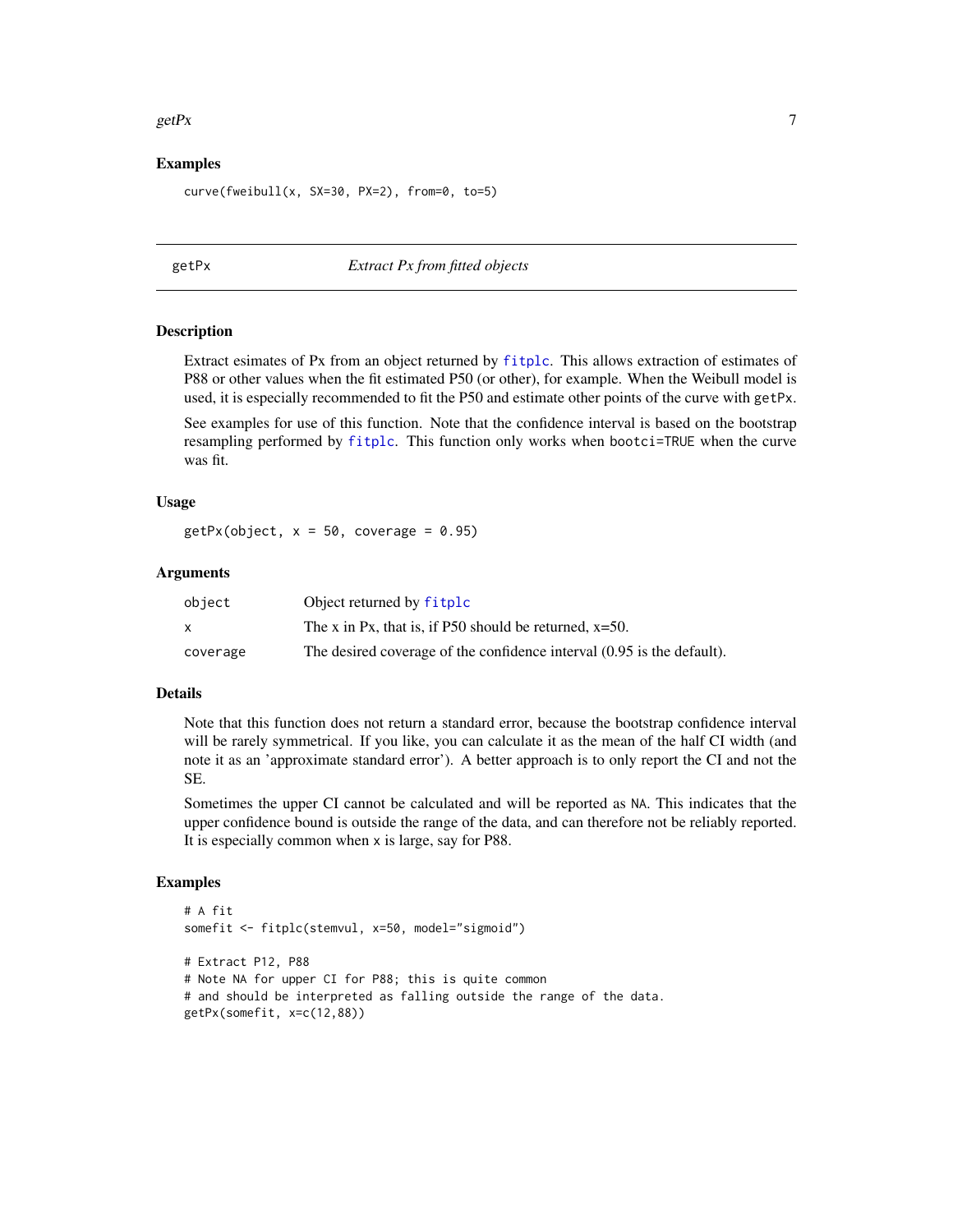#### <span id="page-6-0"></span> $\text{getPx}$  7

#### Examples

```
curve(fweibull(x, SX=30, PX=2), from=0, to=5)
```
#### <span id="page-6-1"></span>getPx *Extract Px from fitted objects*

#### Description

Extract esimates of Px from an object returned by [fitplc](#page-1-1). This allows extraction of estimates of P88 or other values when the fit estimated P50 (or other), for example. When the Weibull model is used, it is especially recommended to fit the P50 and estimate other points of the curve with getPx.

See examples for use of this function. Note that the confidence interval is based on the bootstrap resampling performed by [fitplc](#page-1-1). This function only works when bootci=TRUE when the curve was fit.

#### Usage

```
getPx(object, x = 50, coverage = 0.95)
```
#### **Arguments**

| object   | Object returned by fitplc                                              |
|----------|------------------------------------------------------------------------|
| x        | The x in Px, that is, if P50 should be returned, $x=50$ .              |
| coverage | The desired coverage of the confidence interval (0.95 is the default). |

#### Details

Note that this function does not return a standard error, because the bootstrap confidence interval will be rarely symmetrical. If you like, you can calculate it as the mean of the half CI width (and note it as an 'approximate standard error'). A better approach is to only report the CI and not the SE.

Sometimes the upper CI cannot be calculated and will be reported as NA. This indicates that the upper confidence bound is outside the range of the data, and can therefore not be reliably reported. It is especially common when x is large, say for P88.

#### Examples

```
# A fit
somefit <- fitplc(stemvul, x=50, model="sigmoid")
# Extract P12, P88
# Note NA for upper CI for P88; this is quite common
# and should be interpreted as falling outside the range of the data.
getPx(somefit, x=c(12,88))
```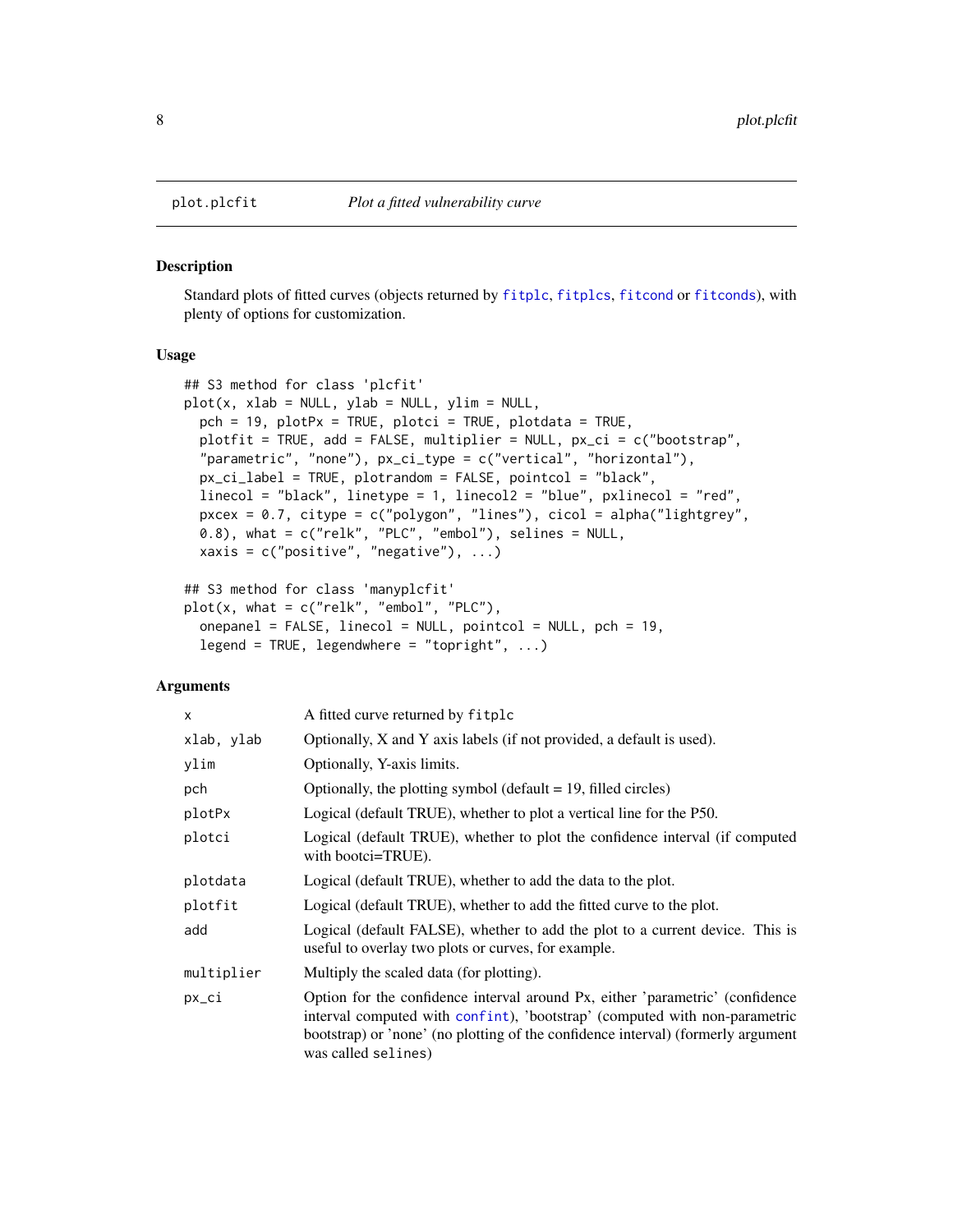#### Description

Standard plots of fitted curves (objects returned by [fitplc](#page-1-1), [fitplcs](#page-1-1), [fitcond](#page-1-2) or [fitconds](#page-1-1)), with plenty of options for customization.

#### Usage

```
## S3 method for class 'plcfit'
plot(x, xlab = NULL, ylab = NULL, ylim = NULL,pch = 19, plotPx = TRUE, plotci = TRUE, plotdata = TRUE,
 plotfit = TRUE, add = FALSE, multiplier = NULL, px_ci = c("bootstrap",
  "parametric", "none"), px_ci_type = c("vertical", "horizontal"),
 px_ci_label = TRUE, plotrandom = FALSE, pointcol = "black",
  linecol = "black", linetype = 1, linecol2 = "blue", pxlinecol = "red",
 pxcex = 0.7, citype = c("polygon", "lines"), cicol = alpha("lightgrey",
 (0.8), what = c("relk", "PLC", "embol"), selines = NULL,
  xaxis = c("positive", "negative"), ...## S3 method for class 'manyplcfit'
```

```
plot(x, what = c("relk", "embol", "PLC"),onepanel = FALSE, linecol = NULL, pointcol = NULL, pch = 19,
  legend = TRUE, legendwhere = "topright", ...)
```
#### Arguments

| X          | A fitted curve returned by fitplc                                                                                                                                                                                                                                      |
|------------|------------------------------------------------------------------------------------------------------------------------------------------------------------------------------------------------------------------------------------------------------------------------|
| xlab, ylab | Optionally, X and Y axis labels (if not provided, a default is used).                                                                                                                                                                                                  |
| ylim       | Optionally, Y-axis limits.                                                                                                                                                                                                                                             |
| pch        | Optionally, the plotting symbol (default $= 19$ , filled circles)                                                                                                                                                                                                      |
| plotPx     | Logical (default TRUE), whether to plot a vertical line for the P50.                                                                                                                                                                                                   |
| plotci     | Logical (default TRUE), whether to plot the confidence interval (if computed<br>with bootci=TRUE).                                                                                                                                                                     |
| plotdata   | Logical (default TRUE), whether to add the data to the plot.                                                                                                                                                                                                           |
| plotfit    | Logical (default TRUE), whether to add the fitted curve to the plot.                                                                                                                                                                                                   |
| add        | Logical (default FALSE), whether to add the plot to a current device. This is<br>useful to overlay two plots or curves, for example.                                                                                                                                   |
| multiplier | Multiply the scaled data (for plotting).                                                                                                                                                                                                                               |
| px_ci      | Option for the confidence interval around Px, either 'parametric' (confidence<br>interval computed with confint), 'bootstrap' (computed with non-parametric<br>bootstrap) or 'none' (no plotting of the confidence interval) (formerly argument<br>was called selines) |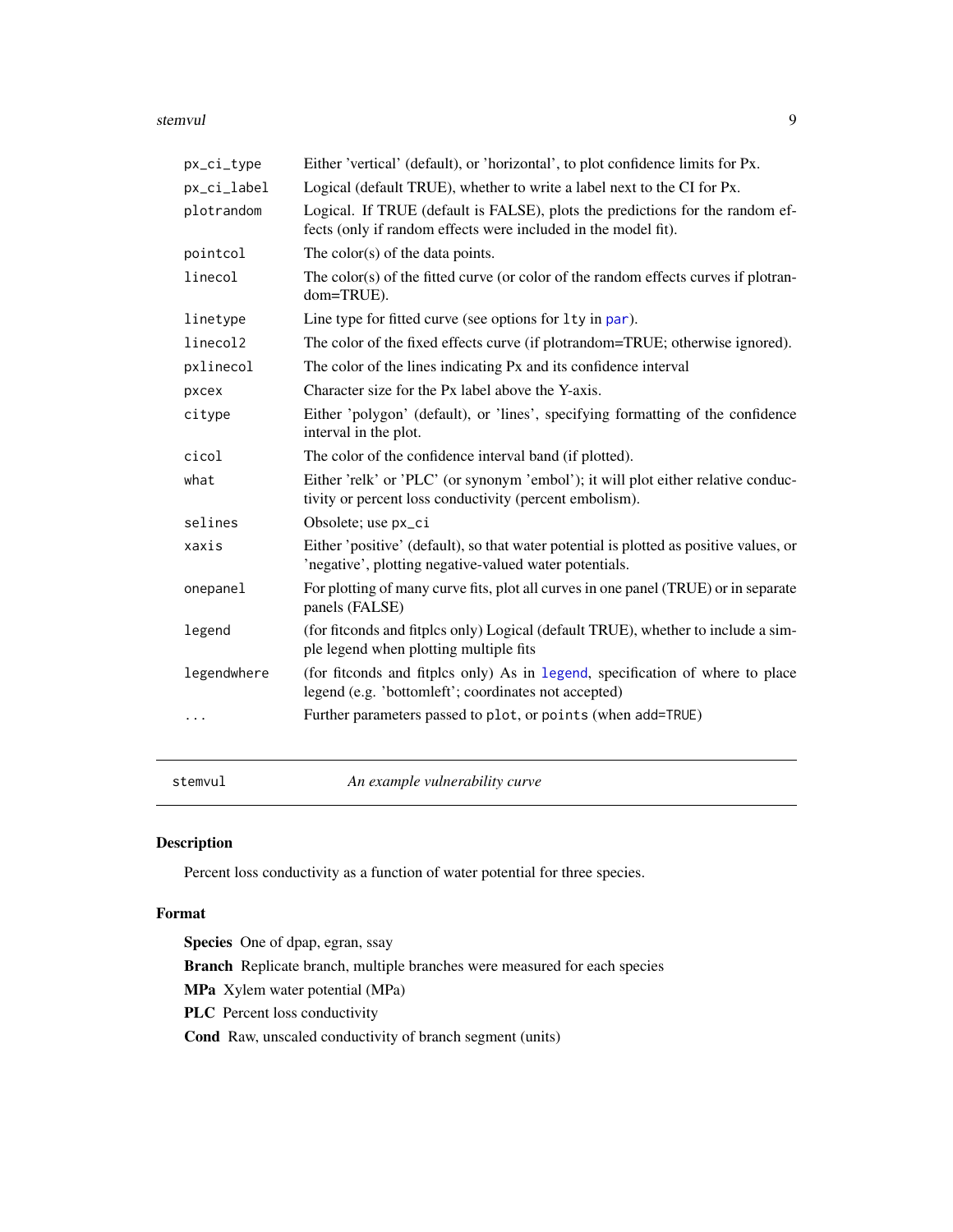#### <span id="page-8-0"></span>stemvul **9**

| px_ci_type  | Either 'vertical' (default), or 'horizontal', to plot confidence limits for Px.                                                                  |
|-------------|--------------------------------------------------------------------------------------------------------------------------------------------------|
| px_ci_label | Logical (default TRUE), whether to write a label next to the CI for Px.                                                                          |
| plotrandom  | Logical. If TRUE (default is FALSE), plots the predictions for the random ef-<br>fects (only if random effects were included in the model fit).  |
| pointcol    | The color(s) of the data points.                                                                                                                 |
| linecol     | The color(s) of the fitted curve (or color of the random effects curves if plotran-<br>dom=TRUE).                                                |
| linetype    | Line type for fitted curve (see options for 1ty in par).                                                                                         |
| linecol2    | The color of the fixed effects curve (if plotrandom=TRUE; otherwise ignored).                                                                    |
| pxlinecol   | The color of the lines indicating Px and its confidence interval                                                                                 |
| рхсех       | Character size for the Px label above the Y-axis.                                                                                                |
| citype      | Either 'polygon' (default), or 'lines', specifying formatting of the confidence<br>interval in the plot.                                         |
| cicol       | The color of the confidence interval band (if plotted).                                                                                          |
| what        | Either 'relk' or 'PLC' (or synonym 'embol'); it will plot either relative conduc-<br>tivity or percent loss conductivity (percent embolism).     |
| selines     | Obsolete; use px_ci                                                                                                                              |
| xaxis       | Either 'positive' (default), so that water potential is plotted as positive values, or<br>'negative', plotting negative-valued water potentials. |
| onepanel    | For plotting of many curve fits, plot all curves in one panel (TRUE) or in separate<br>panels (FALSE)                                            |
| legend      | (for fitconds and fitplcs only) Logical (default TRUE), whether to include a sim-<br>ple legend when plotting multiple fits                      |
| legendwhere | (for fitconds and fitples only) As in legend, specification of where to place<br>legend (e.g. 'bottomleft'; coordinates not accepted)            |
| .           | Further parameters passed to plot, or points (when add=TRUE)                                                                                     |
|             |                                                                                                                                                  |

stemvul *An example vulnerability curve*

#### Description

Percent loss conductivity as a function of water potential for three species.

#### Format

Species One of dpap, egran, ssay Branch Replicate branch, multiple branches were measured for each species MPa Xylem water potential (MPa) PLC Percent loss conductivity Cond Raw, unscaled conductivity of branch segment (units)